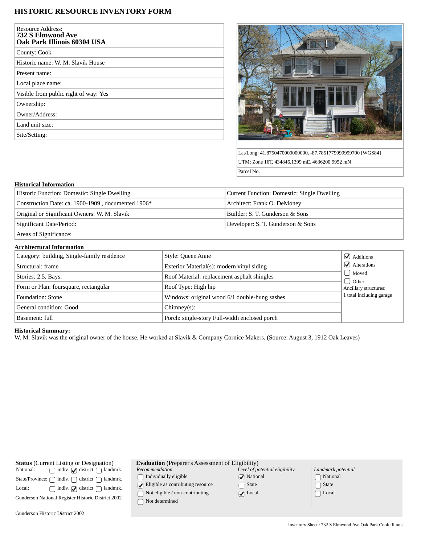# **HISTORIC RESOURCE INVENTORY FORM**

| <b>Resource Address:</b><br>732 S Elmwood Ave<br>Oak Park Illinois 60304 USA |
|------------------------------------------------------------------------------|
| County: Cook                                                                 |
| Historic name: W. M. Slavik House                                            |
| Present name:                                                                |
| Local place name:                                                            |
| Visible from public right of way: Yes                                        |
| Ownership:                                                                   |
| Owner/Address:                                                               |
| Land unit size:                                                              |
| Site/Setting:                                                                |



Lat/Long: 41.8750470000000000, -87.7851779999999700 [WGS84] UTM: Zone 16T, 434846.1399 mE, 4636200.9952 mN Parcel No.

### **Historical Information**

| Historic Function: Domestic: Single Dwelling       | Current Function: Domestic: Single Dwelling |  |
|----------------------------------------------------|---------------------------------------------|--|
| Construction Date: ca. 1900-1909, documented 1906* | Architect: Frank O. DeMoney                 |  |
| Original or Significant Owners: W. M. Slavik       | Builder: S. T. Gunderson & Sons             |  |
| Significant Date/Period:                           | Developer: S. T. Gunderson & Sons           |  |
| Areas of Significance:                             |                                             |  |

#### **Architectural Information**

| Category: building, Single-family residence | Style: Queen Anne                             | $\mathcal{A}$ Additions           |
|---------------------------------------------|-----------------------------------------------|-----------------------------------|
| Structural: frame                           | Exterior Material(s): modern vinyl siding     | $\blacktriangleright$ Alterations |
| Stories: 2.5, Bays:                         | Roof Material: replacement asphalt shingles   | Moved                             |
| Form or Plan: foursquare, rectangular       | Roof Type: High hip                           | J Other<br>Ancillary structures:  |
| Foundation: Stone                           | Windows: original wood 6/1 double-hung sashes | 1 total including garage          |
| General condition: Good                     | $Chimney(s)$ :                                |                                   |
| Basement: full                              | Porch: single-story Full-width enclosed porch |                                   |

## **Historical Summary:**

W. M. Slavik was the original owner of the house. He worked at Slavik & Company Cornice Makers. (Source: August 3, 1912 Oak Leaves)

| <b>Status</b> (Current Listing or Designation) |                                                                        |  |
|------------------------------------------------|------------------------------------------------------------------------|--|
| National:                                      | $\Box$ indiv. $\Box$ district $\Box$ landmrk.                          |  |
|                                                | State/Province: $\bigcap$ indiv. $\bigcap$ district $\bigcap$ landmrk. |  |
| Local:                                         | $\Box$ indiv. $\Box$ district $\Box$ landmrk.                          |  |
|                                                | Gunderson National Register Historic District 2002                     |  |
|                                                |                                                                        |  |

Gunderson Historic District 2002

| <b>Evaluation</b> (Preparer's Assessment of Eligibility) |              |
|----------------------------------------------------------|--------------|
| Recommendation                                           | Level of pot |

*Recommendation*  $\hfill\textstyle\bigcap\textstyle\textstyle\bigcap\textstyle\textstyle\bigcap\textstyle\textstyle\textstyle\bigcap\textstyle\textstyle\bigcap\textstyle\textstyle\big$ 

 $\bigcirc$  Eligible as contributing resource  $\fbox{~Not~eligible~/}$  non-contributing

| । Not determined |
|------------------|
|------------------|

| Level of potential eligibility |  |
|--------------------------------|--|
| $\sqrt{\phantom{a}}$ National  |  |
| $\lceil \; \rceil$ State       |  |
| $\sqrt{\phantom{a}}$ Local     |  |

State ◯ Local

| Landmark potential |                            |  |
|--------------------|----------------------------|--|
|                    | □ National                 |  |
|                    | $\lceil \ \rceil$ State    |  |
|                    | $\lceil \;\; \rceil$ Local |  |